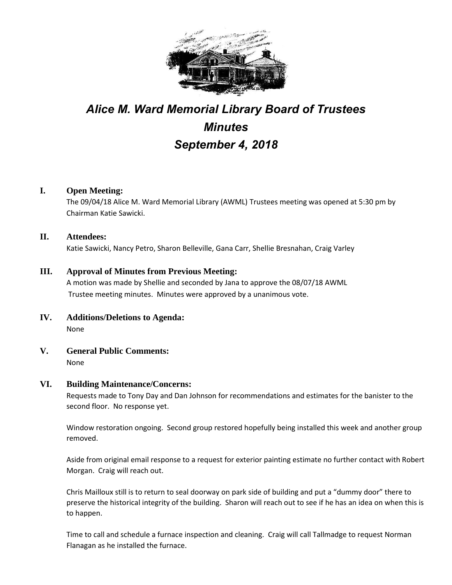

# *Alice M. Ward Memorial Library Board of Trustees Minutes September 4, 2018*

## **I. Open Meeting:**

The 09/04/18 Alice M. Ward Memorial Library (AWML) Trustees meeting was opened at 5:30 pm by Chairman Katie Sawicki.

## **II. Attendees:**

Katie Sawicki, Nancy Petro, Sharon Belleville, Gana Carr, Shellie Bresnahan, Craig Varley

## **III. Approval of Minutes from Previous Meeting:**

A motion was made by Shellie and seconded by Jana to approve the 08/07/18 AWML Trustee meeting minutes. Minutes were approved by a unanimous vote.

- **IV. Additions/Deletions to Agenda:** None
- **V. General Public Comments:** None

#### **VI. Building Maintenance/Concerns:**

Requests made to Tony Day and Dan Johnson for recommendations and estimates for the banister to the second floor. No response yet.

Window restoration ongoing. Second group restored hopefully being installed this week and another group removed.

Aside from original email response to a request for exterior painting estimate no further contact with Robert Morgan. Craig will reach out.

Chris Mailloux still is to return to seal doorway on park side of building and put a "dummy door" there to preserve the historical integrity of the building. Sharon will reach out to see if he has an idea on when this is to happen.

Time to call and schedule a furnace inspection and cleaning. Craig will call Tallmadge to request Norman Flanagan as he installed the furnace.